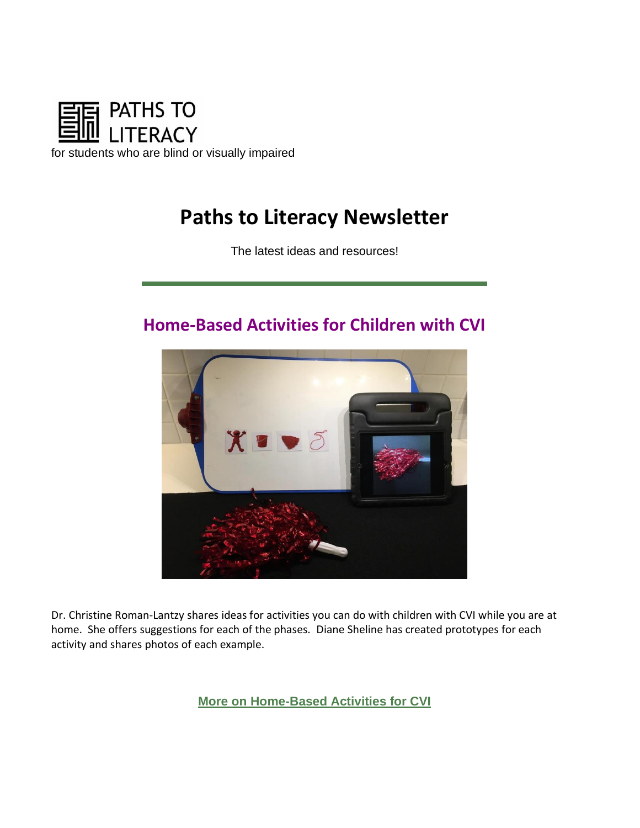

# **Paths to Literacy Newsletter**

The latest ideas and resources!

## **Home-Based Activities for Children with CVI**



Dr. Christine Roman-Lantzy shares ideas for activities you can do with children with CVI while you are at home. She offers suggestions for each of the phases. Diane Sheline has created prototypes for each activity and shares photos of each example.

**[More on Home-Based Activities for CVI](https://www.pathstoliteracy.org/blog/while-you-are-home-activities-children-cvi)**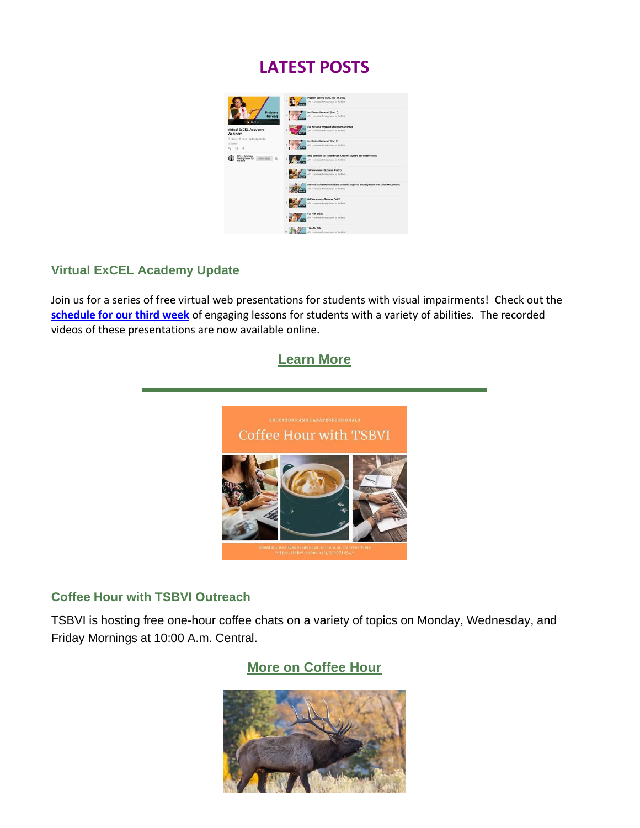## **LATEST POSTS**



#### **Virtual ExCEL Academy Update**

Join us for a series of free virtual web presentations for students with visual impairments! Check out the **[schedule for our third week](https://urldefense.com/v3/__https:/pathstoliteracy.cmail19.com/t/d-l-mtlwz-gkriyijjj-o/__;!!JYXjzlvb!zYm_ZWspZzl3b2qNbliNSOrtwtrvRweQkJrLY2sOAW4zs2rW00te-d2i_J5NrNk$)** of engaging lessons for students with a variety of abilities. The recorded videos of these presentations are now available online.

#### **[Learn More](https://www.pathstoliteracy.org/resources/Virtual-ExCEL-Academy)**



#### **Coffee Hour with TSBVI Outreach**

TSBVI is hosting free one-hour coffee chats on a variety of topics on Monday, Wednesday, and Friday Mornings at 10:00 A.m. Central.

## **[More on Coffee Hour](https://www.pathstoliteracy.org/resources/coffee-hour-tsbvi-outreach)**

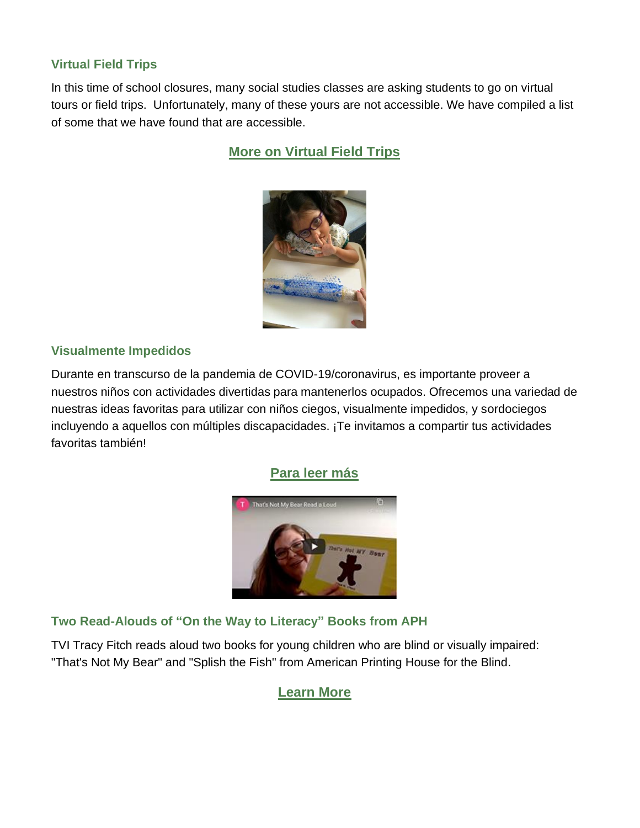#### **Virtual Field Trips**

In this time of school closures, many social studies classes are asking students to go on virtual tours or field trips. Unfortunately, many of these yours are not accessible. We have compiled a list of some that we have found that are accessible.

## **[More on Virtual Field Trips](https://www.pathstoliteracy.org/resources/virtual-field-trips)**



#### **Visualmente Impedidos**

Durante en transcurso de la pandemia de COVID-19/coronavirus, es importante proveer a nuestros niños con actividades divertidas para mantenerlos ocupados. Ofrecemos una variedad de nuestras ideas favoritas para utilizar con niños ciegos, visualmente impedidos, y sordociegos incluyendo a aquellos con múltiples discapacidades. ¡Te invitamos a compartir tus actividades favoritas también!

#### **[Para leer más](https://www.pathstoliteracy.org/blog/stay-home-activities-children-visual-impairments)**



#### **Two Read-Alouds of "On the Way to Literacy" Books from APH**

TVI Tracy Fitch reads aloud two books for young children who are blind or visually impaired: "That's Not My Bear" and "Splish the Fish" from American Printing House for the Blind.

### **[Learn More](https://www.pathstoliteracy.org/strategies/two-read-alouds-early-literacy-books-aph)**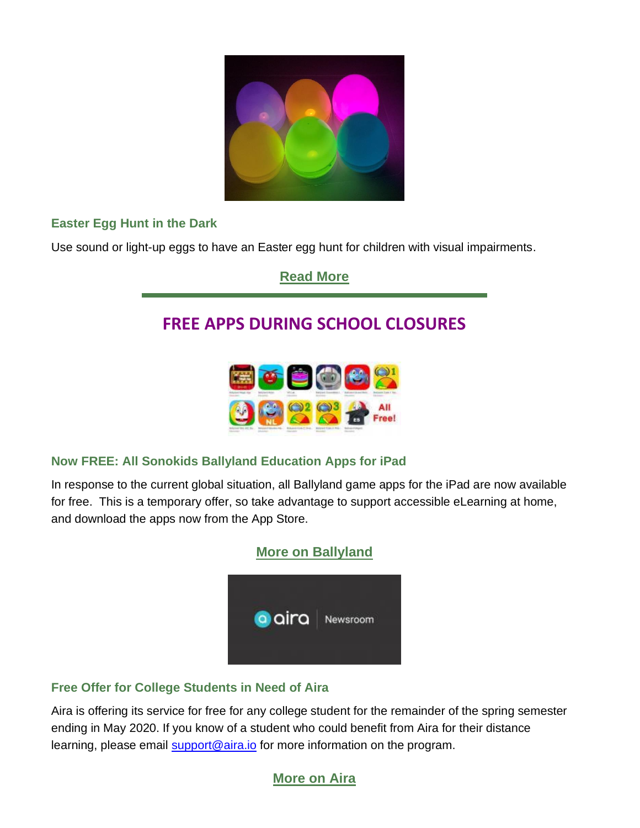

## **Easter Egg Hunt in the Dark**

Use sound or light-up eggs to have an Easter egg hunt for children with visual impairments.

**[Read More](https://www.pathstoliteracy.org/strategies/easter-egg-hunt-dark)**

## **FREE APPS DURING SCHOOL CLOSURES**



### **Now FREE: All Sonokids Ballyland Education Apps for iPad**

In response to the current global situation, all Ballyland game apps for the iPad are now available for free. This is a temporary offer, so take advantage to support accessible eLearning at home, and download the apps now from the App Store.



### **Free Offer for College Students in Need of Aira**

Aira is offering its service for free for any college student for the remainder of the spring semester ending in May 2020. If you know of a student who could benefit from Aira for their distance learning, please email **support@aira.io** for more information on the program.

## **[More on Aira](https://www.pathstoliteracy.org/news/free-offer-college-students-need-aira)**